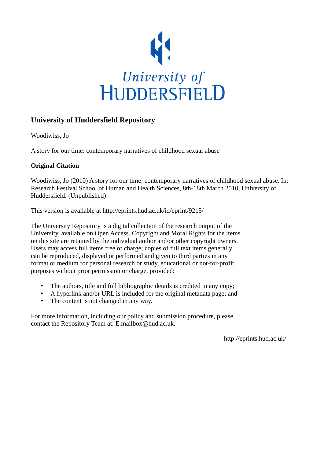

# **University of Huddersfield Repository**

Woodiwiss, Jo

A story for our time: contemporary narratives of childhood sexual abuse

## **Original Citation**

Woodiwiss, Jo (2010) A story for our time: contemporary narratives of childhood sexual abuse. In: Research Festival School of Human and Health Sciences, 8th-18th March 2010, University of Huddersfield. (Unpublished)

This version is available at http://eprints.hud.ac.uk/id/eprint/9215/

The University Repository is a digital collection of the research output of the University, available on Open Access. Copyright and Moral Rights for the items on this site are retained by the individual author and/or other copyright owners. Users may access full items free of charge; copies of full text items generally can be reproduced, displayed or performed and given to third parties in any format or medium for personal research or study, educational or not-for-profit purposes without prior permission or charge, provided:

- The authors, title and full bibliographic details is credited in any copy;
- A hyperlink and/or URL is included for the original metadata page; and
- The content is not changed in any way.

For more information, including our policy and submission procedure, please contact the Repository Team at: E.mailbox@hud.ac.uk.

http://eprints.hud.ac.uk/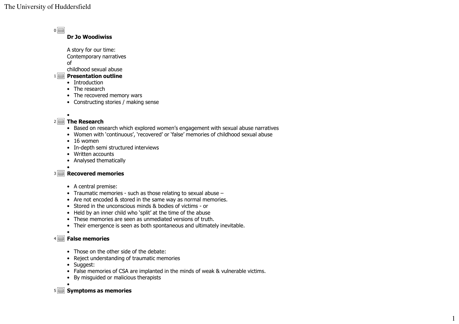Dr Jo WoodiwissA story for our time: Contemporary narratives of childhood sexual abuse $\overline{0}$ 

- $1$   $\blacksquare$  Presentation outline
	- Introduction
	- The research
	- The recovered memory wars
	- Constructing stories / making sense
	- •

#### $2$   $\blacksquare$  The Research

- Based on research which explored women's engagement with sexual abuse narratives<br>• Women with `continuous', `recovered' or `false' memories of childbood sexual abuse
- Women with 'continuous', 'recovered' or 'false' memories of childhood sexual abuse
- 16 women
- 16 women In-depth semi structured interviews
- Written accounts
- Written accounts Analysed thematically
- •

#### $3\blacksquare$  Recovered memories

- A central premise:
- Traumatic memories such as those relating to sexual abuse –
- Are not encoded & stored in the same way as normal memories.<br>• Stored in the unconscious minds & bodies of victims or
- Stored in the unconscious minds & bodies of victims or
- Held by an inner child who 'split' at the time of the abuse
- These memories are seen as unmediated versions of truth.
- Their emergence is seen as both spontaneous and ultimately inevitable.

•

•

#### False memories4

- Those on the other side of the debate:
- Those on the other side of the debate: Reject understanding of traumatic memories
- Suggest:
- Suggest: False memories of CSA are implanted in the minds of weak & vulnerable victims.
- By misguided or malicious therapists

 $5 \blacksquare$  Symptoms as memories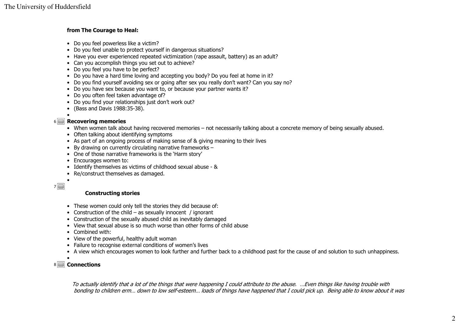#### from The Courage to Heal:

- Do you feel powerless like a victim?
- Do you feel unable to protect yourself in dangerous situations?
- Have you ever experienced repeated victimization (rape assault, battery) as an adult?<br>• Can you accomplish things you set out to achieve?
- Can you accomplish things you set out to achieve?
- Do you feel you have to be perfect?
- Do you have a hard time loving and accepting you body? Do you feel at home in it?
- Do you find yourself avoiding sex or going after sex you really don't want? Can you say no?
- Do you have sex because you want to, or because your partner wants it?<br>• Do you often feel taken advantage of?
- Do you often feel taken advantage of?
- Do you find your relationships just don't work out?
- (Bass and Davis 1988:35-38).

#### $6 \blacksquare$  Recovering memories

- When women talk about having recovered memories not necessarily talking about a concrete memory of being sexually abused.<br>• Often talking about identifying symptoms
- Often talking about identifying symptoms
- As part of an ongoing process of making sense of & giving meaning to their lives
- By drawing on currently circulating narrative frameworks –
- One of those narrative frameworks is the 'Harm story'<br>• Encourages women to:
- Encourages women to:
- Encourages women to: Identify themselves as victims of childhood sexual abuse &
- Re/construct themselves as damaged.<br>•
- $7\Box$

•

•

#### Constructing stories

- These women could only tell the stories they did because of:
- Construction of the child as sexually innocent / ignorant
- Construction of the sexually abused child as inevitably damaged
- View that sexual abuse is so much worse than other forms of child abuse<br>• Combined with:
- Combined with:
- Combined with:<br>• View of the powerful, healthy adult woman<br>• Failure to recognise external conditions of w
- Failure to recognise external conditions of women's lives
- Failure to recognise external conditions of women's lives<br>• A view which encourages women to look further and further back to a childhood past for the cause of and solution to such unhappiness.<br>•



#### To actually identify that a lot of the things that were happening I could attribute to the abuse. …Even things like having trouble with bonding to children erm… down to low self-esteem… loads of things have happened that I could pick up. Being able to know about it was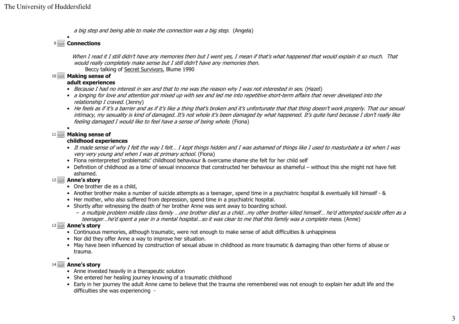a big step and being able to make the connection was a big step. (Angela)

## 9I⊟I **Connections**

•

When I read it I still didn't have any memories then but I went yes, I mean if that's what happened that would explain it so much. That would really completely make sense but I still didn't have any memories then.

Beccy talking of Secret Survivors, Blume 1990

 $10$   $\Box$  Making sense of

### adult experiences

- Because I had no interest in sex and that to me was the reason why I was not interested in sex. (Hazel)
- a longing for love and attention got mixed up with sex and led me into repetitive short-term affairs that never developed into the relationship I craved. (Jenny)
- He feels as if it's a barrier and as if it's like a thing that's broken and it's unfortunate that that thing doesn't work properly. That our sexual intimacy, my sexuality is kind of damaged. It's not whole it's been damaged by what happened. It's quite hard because I don't really like feeling damaged I would like to feel have a sense of being whole. (Fiona)

# $11$   $\Box$  Making sense of

•

## childhood experiences

- It made sense of why I felt the way I felt… I kept things hidden and I was ashamed of things like I used to masturbate a lot when I was very very young and when I was at primary school. (Fiona)
- Fiona reinterpreted 'problematic' childhood behaviour & overcame shame she felt for her child self
- Definition of childhood as a time of sexual innocence that constructed her behaviour as shameful without this she might not have felt ashamed.

 $12$  Anne's story

- One brother die as a child,
- Another brother make a number of suicide attempts as a teenager, spend time in a psychiatric hospital & eventually kill himself &<br>• Her mother, who also suffered from denression, spend time in a psychiatric hospital
- Her mother, who also suffered from depression, spend time in a psychiatric hospital.
- Shortly after witnessing the death of her brother Anne was sent away to boarding school.<br> *a multinle problem middle class family one brother died as a child my other brother* 
	- a multiple problem middle class family …one brother died as a child…my other brother killed himself… he'd attempted suicide often as a teenager…he'd spent a year in a mental hospital…so it was clear to me that this family was a complete mess. (Anne)

 $13$   $\Box$  Anne's story

- Continuous memories, although traumatic, were not enough to make sense of adult difficulties & unhappiness
- Nor did they offer Anne a way to improve her situation.
- May have been influenced by construction of sexual abuse in childhood as more traumatic & damaging than other forms of abuse or trauma.

•

### $14$   $\Box$  Anne's story

- Anne invested heavily in a therapeutic solution
- She entered her healing journey knowing of a traumatic childhood<br>• Early in her journey the adult Anne came to believe that the traum:
- Early in her journey the adult Anne came to believe that the trauma she remembered was not enough to explain her adult life and the difficulties she was experiencing -